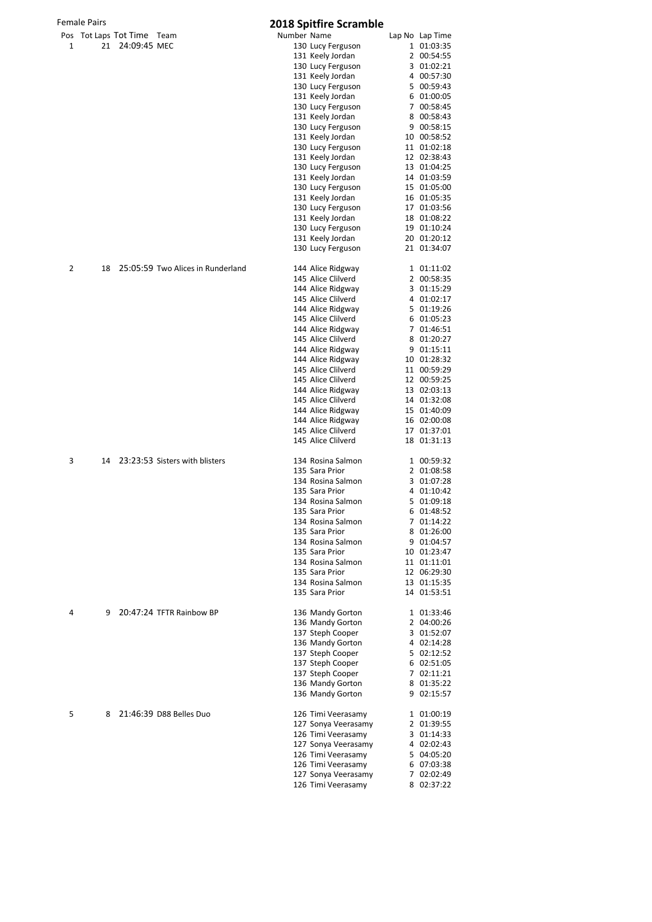|  | Pos Tot Laps Tot Time Tear |  |
|--|----------------------------|--|
|  | $21 - 24.09.45$ MEC        |  |

|   | <b>Female Pairs</b> |                            |                                   |             | <b>2018 Spitfire Scramble</b>            |                            |
|---|---------------------|----------------------------|-----------------------------------|-------------|------------------------------------------|----------------------------|
|   |                     | Pos Tot Laps Tot Time Team |                                   | Number Name |                                          | Lap No Lap Time            |
| 1 | 21                  | 24:09:45 MEC               |                                   |             | 130 Lucy Ferguson                        | 1 01:03:35                 |
|   |                     |                            |                                   |             | 131 Keely Jordan                         | 2 00:54:55                 |
|   |                     |                            |                                   |             | 130 Lucy Ferguson                        | 3 01:02:21                 |
|   |                     |                            |                                   |             | 131 Keely Jordan                         | 4 00:57:30                 |
|   |                     |                            |                                   |             | 130 Lucy Ferguson<br>131 Keely Jordan    | 5 00:59:43<br>6 01:00:05   |
|   |                     |                            |                                   |             | 130 Lucy Ferguson                        | 7 00:58:45                 |
|   |                     |                            |                                   |             | 131 Keely Jordan                         | 8 00:58:43                 |
|   |                     |                            |                                   |             | 130 Lucy Ferguson                        | 9 00:58:15                 |
|   |                     |                            |                                   |             | 131 Keely Jordan                         | 10 00:58:52                |
|   |                     |                            |                                   |             | 130 Lucy Ferguson                        | 11 01:02:18                |
|   |                     |                            |                                   |             | 131 Keely Jordan                         | 12 02:38:43                |
|   |                     |                            |                                   |             | 130 Lucy Ferguson                        | 13 01:04:25                |
|   |                     |                            |                                   |             | 131 Keely Jordan                         | 14 01:03:59                |
|   |                     |                            |                                   |             | 130 Lucy Ferguson                        | 15 01:05:00                |
|   |                     |                            |                                   |             | 131 Keely Jordan                         | 16 01:05:35                |
|   |                     |                            |                                   |             | 130 Lucy Ferguson<br>131 Keely Jordan    | 17 01:03:56<br>18 01:08:22 |
|   |                     |                            |                                   |             | 130 Lucy Ferguson                        | 19 01:10:24                |
|   |                     |                            |                                   |             | 131 Keely Jordan                         | 20 01:20:12                |
|   |                     |                            |                                   |             | 130 Lucy Ferguson                        | 21 01:34:07                |
| 2 | 18                  |                            | 25:05:59 Two Alices in Runderland |             | 144 Alice Ridgway                        | 1 01:11:02                 |
|   |                     |                            |                                   |             | 145 Alice Clilverd                       | 2 00:58:35                 |
|   |                     |                            |                                   |             | 144 Alice Ridgway                        | 3 01:15:29                 |
|   |                     |                            |                                   |             | 145 Alice Clilverd                       | 4 01:02:17                 |
|   |                     |                            |                                   |             | 144 Alice Ridgway                        | 5 01:19:26                 |
|   |                     |                            |                                   |             | 145 Alice Clilverd                       | 6 01:05:23                 |
|   |                     |                            |                                   |             | 144 Alice Ridgway                        | 7 01:46:51                 |
|   |                     |                            |                                   |             | 145 Alice Clilverd                       | 8 01:20:27                 |
|   |                     |                            |                                   |             | 144 Alice Ridgway<br>144 Alice Ridgway   | 9 01:15:11<br>10 01:28:32  |
|   |                     |                            |                                   |             | 145 Alice Clilverd                       | 11 00:59:29                |
|   |                     |                            |                                   |             | 145 Alice Clilverd                       | 12 00:59:25                |
|   |                     |                            |                                   |             | 144 Alice Ridgway                        | 13 02:03:13                |
|   |                     |                            |                                   |             | 145 Alice Clilverd                       | 14 01:32:08                |
|   |                     |                            |                                   |             | 144 Alice Ridgway                        | 15 01:40:09                |
|   |                     |                            |                                   |             | 144 Alice Ridgway                        | 16 02:00:08                |
|   |                     |                            |                                   |             | 145 Alice Clilverd<br>145 Alice Clilverd | 17 01:37:01<br>18 01:31:13 |
|   |                     |                            |                                   |             |                                          |                            |
| 3 | 14                  |                            | 23:23:53 Sisters with blisters    |             | 134 Rosina Salmon                        | 1 00:59:32                 |
|   |                     |                            |                                   |             | 135 Sara Prior                           | 2 01:08:58                 |
|   |                     |                            |                                   |             | 134 Rosina Salmon                        | 3 01:07:28                 |
|   |                     |                            |                                   |             | 135 Sara Prior<br>134 Rosina Salmon      | 4 01:10:42<br>5 01:09:18   |
|   |                     |                            |                                   |             | 135 Sara Prior                           | 6 01:48:52                 |
|   |                     |                            |                                   |             | 134 Rosina Salmon                        | 7 01:14:22                 |
|   |                     |                            |                                   |             | 135 Sara Prior                           | 8 01:26:00                 |
|   |                     |                            |                                   |             | 134 Rosina Salmon                        | 9 01:04:57                 |
|   |                     |                            |                                   |             | 135 Sara Prior                           | 10 01:23:47                |
|   |                     |                            |                                   |             | 134 Rosina Salmon                        | 11 01:11:01                |
|   |                     |                            |                                   |             | 135 Sara Prior                           | 12 06:29:30                |
|   |                     |                            |                                   |             | 134 Rosina Salmon<br>135 Sara Prior      | 13 01:15:35<br>14 01:53:51 |
|   |                     |                            |                                   |             |                                          |                            |
| 4 | 9                   |                            | 20:47:24 TFTR Rainbow BP          |             | 136 Mandy Gorton                         | 1 01:33:46                 |
|   |                     |                            |                                   |             | 136 Mandy Gorton                         | 2 04:00:26                 |
|   |                     |                            |                                   |             | 137 Steph Cooper                         | 3 01:52:07                 |
|   |                     |                            |                                   |             | 136 Mandy Gorton<br>137 Steph Cooper     | 4 02:14:28<br>5 02:12:52   |
|   |                     |                            |                                   |             | 137 Steph Cooper                         | 6 02:51:05                 |
|   |                     |                            |                                   |             | 137 Steph Cooper                         | 7 02:11:21                 |
|   |                     |                            |                                   |             | 136 Mandy Gorton                         | 8 01:35:22                 |
|   |                     |                            |                                   |             | 136 Mandy Gorton                         | 9 02:15:57                 |
| 5 | 8                   |                            | 21:46:39 D88 Belles Duo           |             | 126 Timi Veerasamy                       | 1 01:00:19                 |
|   |                     |                            |                                   |             | 127 Sonya Veerasamy                      | 2 01:39:55                 |
|   |                     |                            |                                   |             | 126 Timi Veerasamy                       | 3 01:14:33                 |
|   |                     |                            |                                   |             | 127 Sonya Veerasamy                      | 4 02:02:43                 |
|   |                     |                            |                                   |             | 126 Timi Veerasamy                       | 5 04:05:20                 |
|   |                     |                            |                                   |             | 126 Timi Veerasamy                       | 6 07:03:38                 |
|   |                     |                            |                                   |             | 127 Sonya Veerasamy                      | 7 02:02:49                 |
|   |                     |                            |                                   |             | 126 Timi Veerasamy                       | 8 02:37:22                 |